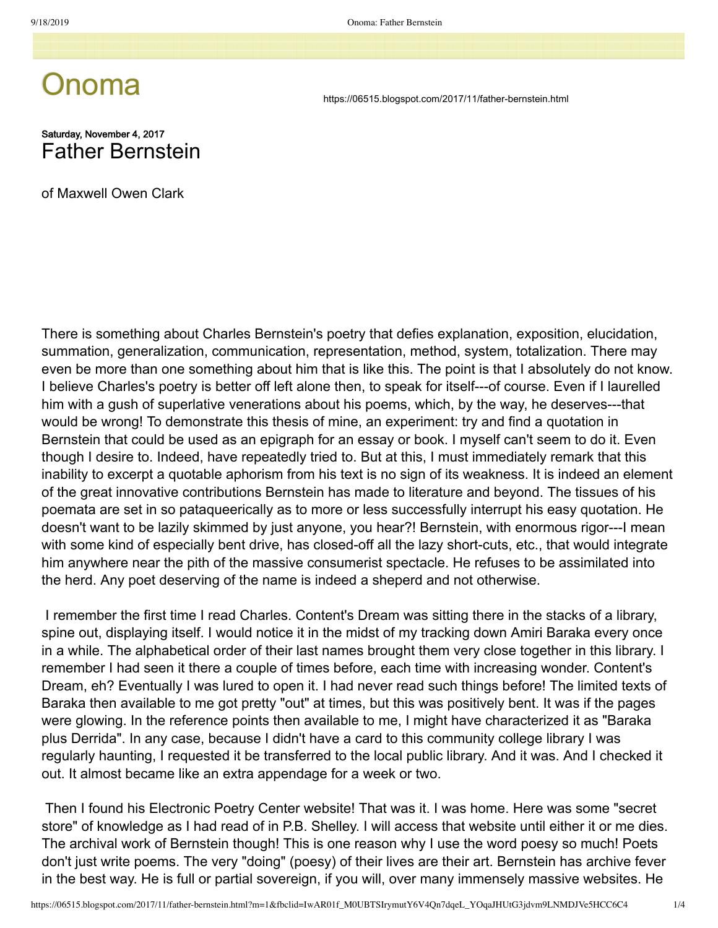## Onoma

https://06515.blogspot.com/2017/11/father-bernstein.html

## Saturday, November 4, 2017 Father Bernstein

of Maxwell Owen Clark

There is something about Charles Bernstein's poetry that defies explanation, exposition, elucidation, summation, generalization, communication, representation, method, system, totalization. There may even be more than one something about him that is like this. The point is that I absolutely do not know. I believe Charles's poetry is better off left alone then, to speak for itself---of course. Even if I laurelled him with a gush of superlative venerations about his poems, which, by the way, he deserves---that would be wrong! To demonstrate this thesis of mine, an experiment: try and find a quotation in Bernstein that could be used as an epigraph for an essay or book. I myself can't seem to do it. Even though I desire to. Indeed, have repeatedly tried to. But at this, I must immediately remark that this inability to excerpt a quotable aphorism from his text is no sign of its weakness. It is indeed an element of the great innovative contributions Bernstein has made to literature and beyond. The tissues of his poemata are set in so pataqueerically as to more or less successfully interrupt his easy quotation. He doesn't want to be lazily skimmed by just anyone, you hear?! Bernstein, with enormous rigor---I mean with some kind of especially bent drive, has closed-off all the lazy short-cuts, etc., that would integrate him anywhere near the pith of the massive consumerist spectacle. He refuses to be assimilated into the herd. Any poet deserving of the name is indeed a sheperd and not otherwise.

 I remember the first time I read Charles. Content's Dream was sitting there in the stacks of a library, spine out, displaying itself. I would notice it in the midst of my tracking down Amiri Baraka every once in a while. The alphabetical order of their last names brought them very close together in this library. I remember I had seen it there a couple of times before, each time with increasing wonder. Content's Dream, eh? Eventually I was lured to open it. I had never read such things before! The limited texts of Baraka then available to me got pretty "out" at times, but this was positively bent. It was if the pages were glowing. In the reference points then available to me, I might have characterized it as "Baraka plus Derrida". In any case, because I didn't have a card to this community college library I was regularly haunting, I requested it be transferred to the local public library. And it was. And I checked it out. It almost became like an extra appendage for a week or two.

 Then I found his Electronic Poetry Center website! That was it. I was home. Here was some "secret store" of knowledge as I had read of in P.B. Shelley. I will access that website until either it or me dies. The archival work of Bernstein though! This is one reason why I use the word poesy so much! Poets don't just write poems. The very "doing" (poesy) of their lives are their art. Bernstein has archive fever in the best way. He is full or partial sovereign, if you will, over many immensely massive websites. He